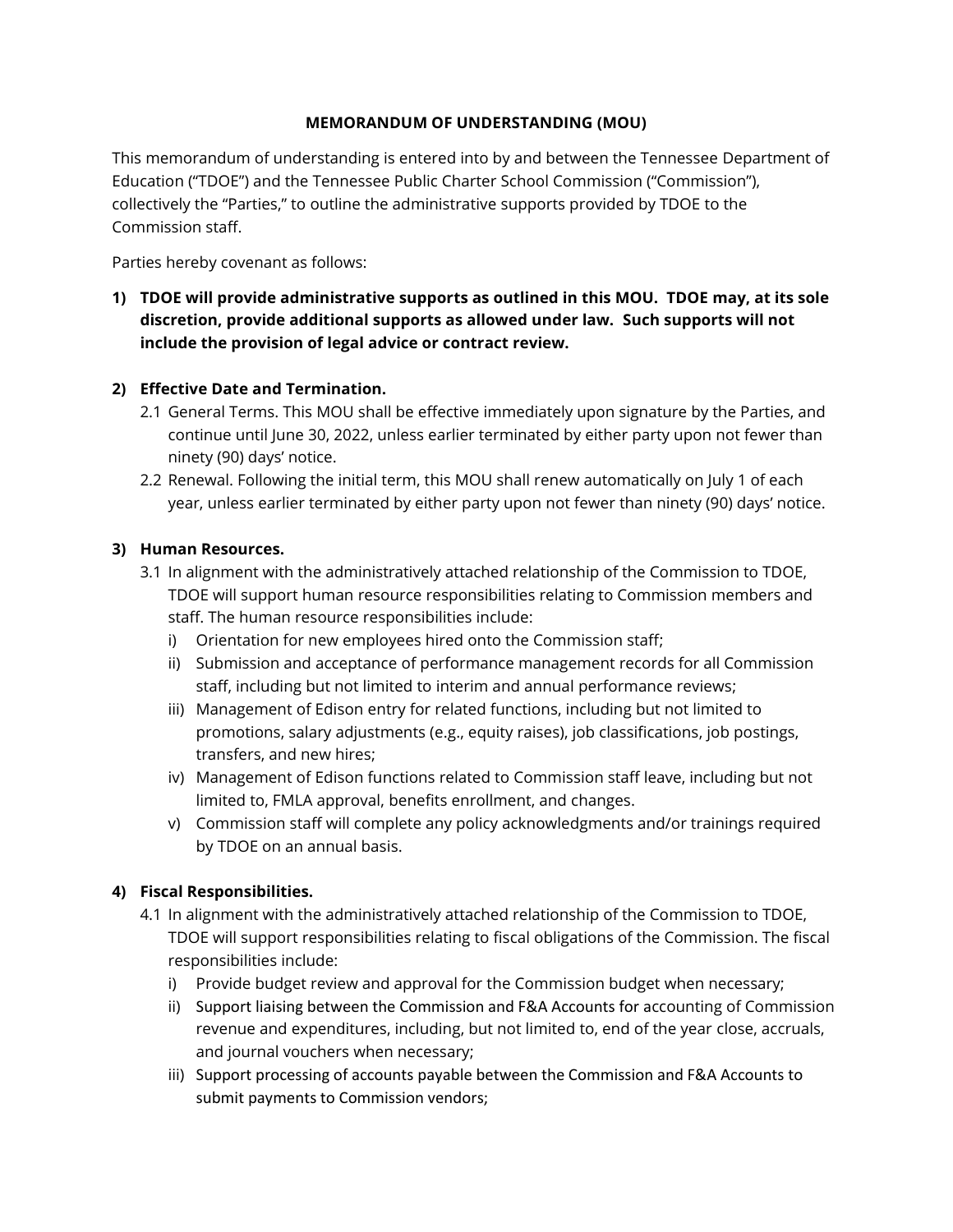## **MEMORANDUM OF UNDERSTANDING (MOU)**

This memorandum of understanding is entered into by and between the Tennessee Department of Education ("TDOE") and the Tennessee Public Charter School Commission ("Commission"), collectively the "Parties," to outline the administrative supports provided by TDOE to the Commission staff.

Parties hereby covenant as follows:

**1) TDOE will provide administrative supports as outlined in this MOU. TDOE may, at its sole discretion, provide additional supports as allowed under law. Such supports will not include the provision of legal advice or contract review.** 

## **2) Effective Date and Termination.**

- 2.1 General Terms. This MOU shall be effective immediately upon signature by the Parties, and continue until June 30, 2022, unless earlier terminated by either party upon not fewer than ninety (90) days' notice.
- 2.2 Renewal. Following the initial term, this MOU shall renew automatically on July 1 of each year, unless earlier terminated by either party upon not fewer than ninety (90) days' notice.

## **3) Human Resources.**

- 3.1 In alignment with the administratively attached relationship of the Commission to TDOE, TDOE will support human resource responsibilities relating to Commission members and staff. The human resource responsibilities include:
	- i) Orientation for new employees hired onto the Commission staff;
	- ii) Submission and acceptance of performance management records for all Commission staff, including but not limited to interim and annual performance reviews;
	- iii) Management of Edison entry for related functions, including but not limited to promotions, salary adjustments (e.g., equity raises), job classifications, job postings, transfers, and new hires;
	- iv) Management of Edison functions related to Commission staff leave, including but not limited to, FMLA approval, benefits enrollment, and changes.
	- v) Commission staff will complete any policy acknowledgments and/or trainings required by TDOE on an annual basis.

## **4) Fiscal Responsibilities.**

- 4.1 In alignment with the administratively attached relationship of the Commission to TDOE, TDOE will support responsibilities relating to fiscal obligations of the Commission. The fiscal responsibilities include:
	- i) Provide budget review and approval for the Commission budget when necessary;
	- ii) Support liaising between the Commission and F&A Accounts for accounting of Commission revenue and expenditures, including, but not limited to, end of the year close, accruals, and journal vouchers when necessary;
	- iii) Support processing of accounts payable between the Commission and F&A Accounts to submit payments to Commission vendors;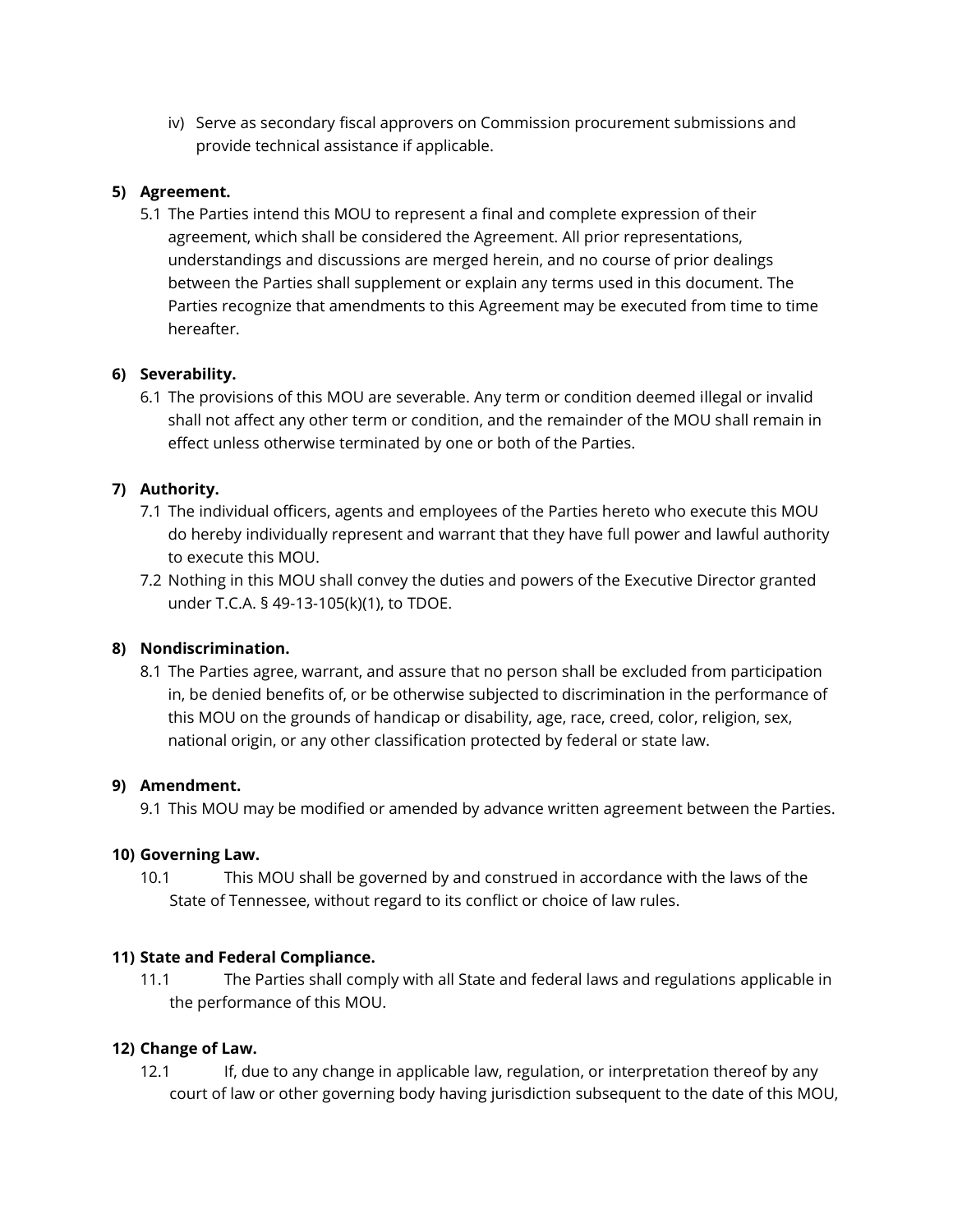iv) Serve as secondary fiscal approvers on Commission procurement submissions and provide technical assistance if applicable.

## **5) Agreement.**

5.1 The Parties intend this MOU to represent a final and complete expression of their agreement, which shall be considered the Agreement. All prior representations, understandings and discussions are merged herein, and no course of prior dealings between the Parties shall supplement or explain any terms used in this document. The Parties recognize that amendments to this Agreement may be executed from time to time hereafter.

# **6) Severability.**

6.1 The provisions of this MOU are severable. Any term or condition deemed illegal or invalid shall not affect any other term or condition, and the remainder of the MOU shall remain in effect unless otherwise terminated by one or both of the Parties.

# **7) Authority.**

- 7.1 The individual officers, agents and employees of the Parties hereto who execute this MOU do hereby individually represent and warrant that they have full power and lawful authority to execute this MOU.
- 7.2 Nothing in this MOU shall convey the duties and powers of the Executive Director granted under T.C.A. § 49-13-105(k)(1), to TDOE.

## **8) Nondiscrimination.**

8.1 The Parties agree, warrant, and assure that no person shall be excluded from participation in, be denied benefits of, or be otherwise subjected to discrimination in the performance of this MOU on the grounds of handicap or disability, age, race, creed, color, religion, sex, national origin, or any other classification protected by federal or state law.

## **9) Amendment.**

9.1 This MOU may be modified or amended by advance written agreement between the Parties.

## **10) Governing Law.**

10.1 This MOU shall be governed by and construed in accordance with the laws of the State of Tennessee, without regard to its conflict or choice of law rules.

## **11) State and Federal Compliance.**

11.1 The Parties shall comply with all State and federal laws and regulations applicable in the performance of this MOU.

## **12) Change of Law.**

12.1 If, due to any change in applicable law, regulation, or interpretation thereof by any court of law or other governing body having jurisdiction subsequent to the date of this MOU,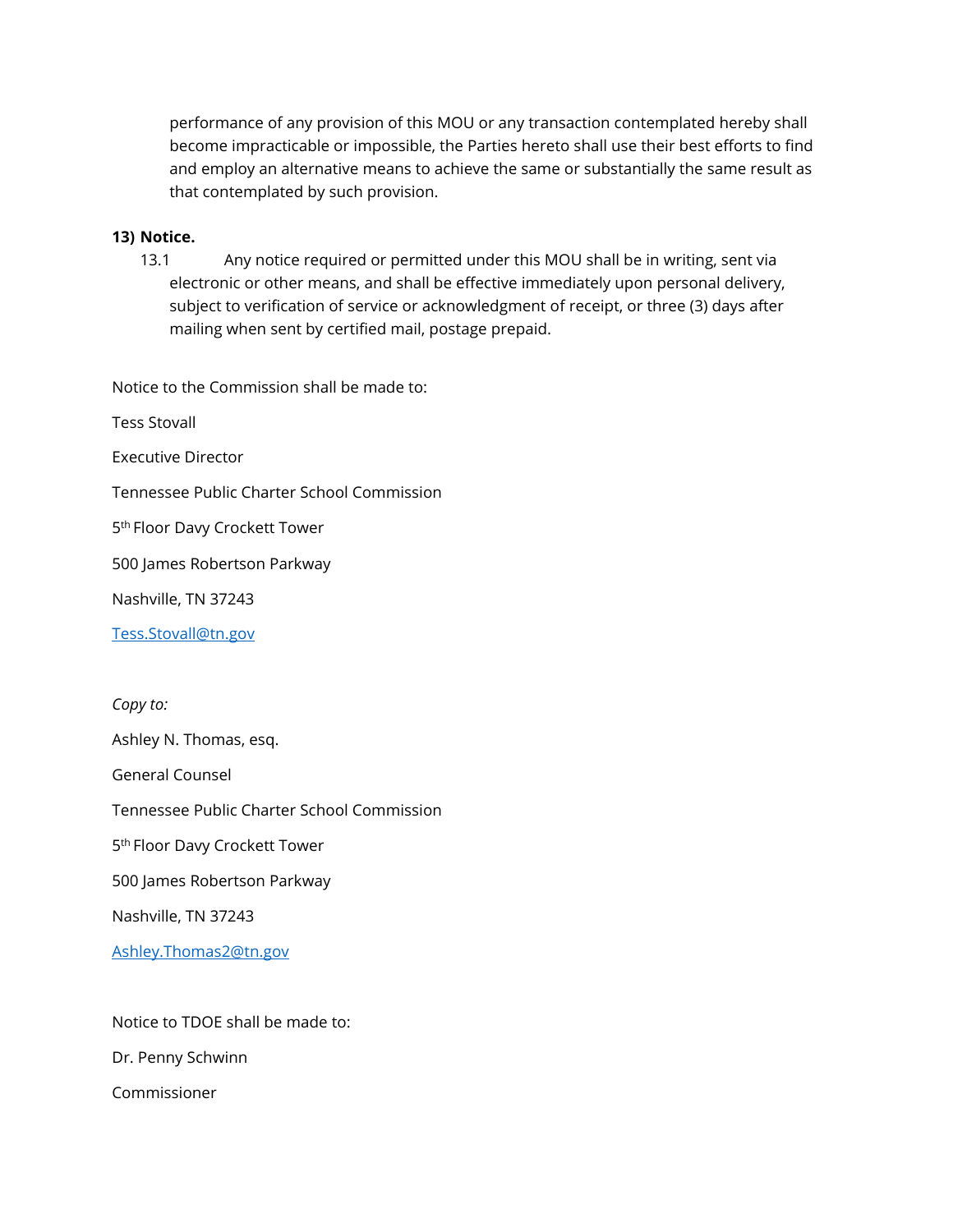performance of any provision of this MOU or any transaction contemplated hereby shall become impracticable or impossible, the Parties hereto shall use their best efforts to find and employ an alternative means to achieve the same or substantially the same result as that contemplated by such provision.

#### **13) Notice.**

13.1 Any notice required or permitted under this MOU shall be in writing, sent via electronic or other means, and shall be effective immediately upon personal delivery, subject to verification of service or acknowledgment of receipt, or three (3) days after mailing when sent by certified mail, postage prepaid.

Notice to the Commission shall be made to:

Tess Stovall

Executive Director

Tennessee Public Charter School Commission

5<sup>th</sup> Floor Davy Crockett Tower

500 James Robertson Parkway

Nashville, TN 37243

[Tess.Stovall@tn.gov](mailto:Tess.Stovall@tn.gov)

*Copy to:*

Ashley N. Thomas, esq.

General Counsel

Tennessee Public Charter School Commission

5<sup>th</sup> Floor Davy Crockett Tower

500 James Robertson Parkway

Nashville, TN 37243

[Ashley.Thomas2@tn.gov](mailto:Ashley.Thomas2@tn.gov)

Notice to TDOE shall be made to: Dr. Penny Schwinn

Commissioner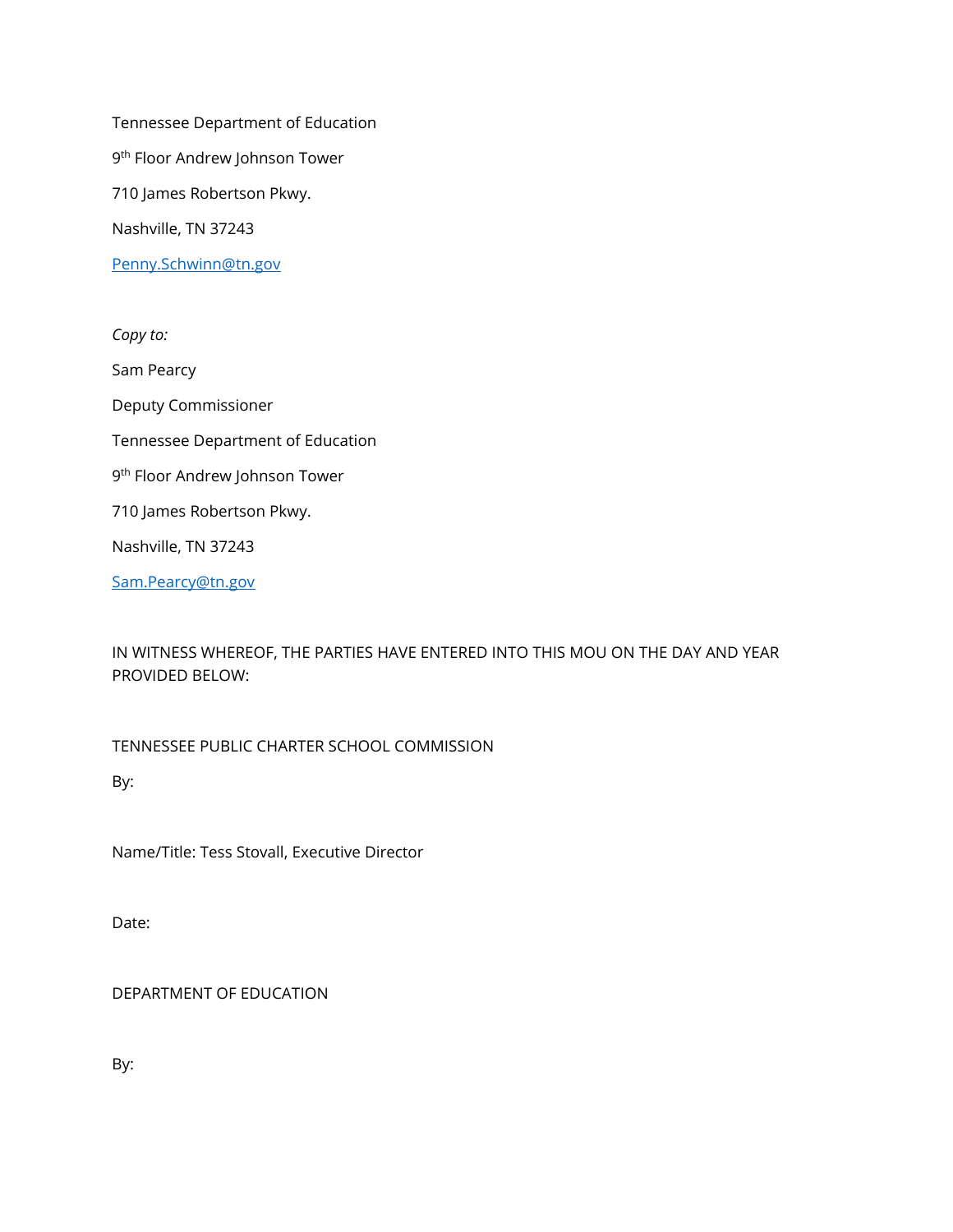Tennessee Department of Education 9<sup>th</sup> Floor Andrew Johnson Tower 710 James Robertson Pkwy. Nashville, TN 37243 [Penny.Schwinn@tn.gov](mailto:Penny.Schwinn@tn.gov)

*Copy to:* Sam Pearcy Deputy Commissioner Tennessee Department of Education 9<sup>th</sup> Floor Andrew Johnson Tower 710 James Robertson Pkwy. Nashville, TN 37243 [Sam.Pearcy@tn.gov](mailto:Christy.Ballard@tn.gov)

IN WITNESS WHEREOF, THE PARTIES HAVE ENTERED INTO THIS MOU ON THE DAY AND YEAR PROVIDED BELOW:

TENNESSEE PUBLIC CHARTER SCHOOL COMMISSION

By:

Name/Title: Tess Stovall, Executive Director

Date:

DEPARTMENT OF EDUCATION

By: